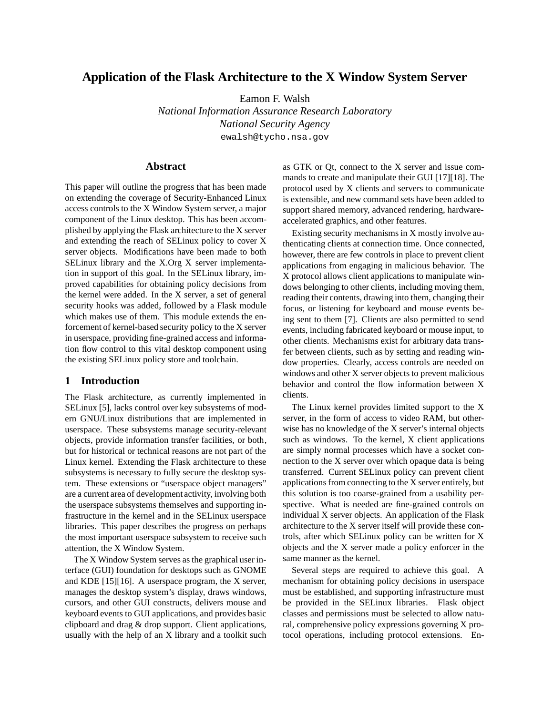# **Application of the Flask Architecture to the X Window System Server**

Eamon F. Walsh

*National Information Assurance Research Laboratory National Security Agency* ewalsh@tycho.nsa.gov

#### **Abstract**

This paper will outline the progress that has been made on extending the coverage of Security-Enhanced Linux access controls to the X Window System server, a major component of the Linux desktop. This has been accomplished by applying the Flask architecture to the X server and extending the reach of SELinux policy to cover X server objects. Modifications have been made to both SELinux library and the X.Org X server implementation in support of this goal. In the SELinux library, improved capabilities for obtaining policy decisions from the kernel were added. In the X server, a set of general security hooks was added, followed by a Flask module which makes use of them. This module extends the enforcement of kernel-based security policy to the X server in userspace, providing fine-grained access and information flow control to this vital desktop component using the existing SELinux policy store and toolchain.

#### **1 Introduction**

The Flask architecture, as currently implemented in SELinux [5], lacks control over key subsystems of modern GNU/Linux distributions that are implemented in userspace. These subsystems manage security-relevant objects, provide information transfer facilities, or both, but for historical or technical reasons are not part of the Linux kernel. Extending the Flask architecture to these subsystems is necessary to fully secure the desktop system. These extensions or "userspace object managers" are a current area of development activity, involving both the userspace subsystems themselves and supporting infrastructure in the kernel and in the SELinux userspace libraries. This paper describes the progress on perhaps the most important userspace subsystem to receive such attention, the X Window System.

The X Window System serves as the graphical user interface (GUI) foundation for desktops such as GNOME and KDE [15][16]. A userspace program, the X server, manages the desktop system's display, draws windows, cursors, and other GUI constructs, delivers mouse and keyboard events to GUI applications, and provides basic clipboard and drag & drop support. Client applications, usually with the help of an X library and a toolkit such as GTK or Qt, connect to the X server and issue commands to create and manipulate their GUI [17][18]. The protocol used by X clients and servers to communicate is extensible, and new command sets have been added to support shared memory, advanced rendering, hardwareaccelerated graphics, and other features.

Existing security mechanisms in X mostly involve authenticating clients at connection time. Once connected, however, there are few controls in place to prevent client applications from engaging in malicious behavior. The X protocol allows client applications to manipulate windows belonging to other clients, including moving them, reading their contents, drawing into them, changing their focus, or listening for keyboard and mouse events being sent to them [7]. Clients are also permitted to send events, including fabricated keyboard or mouse input, to other clients. Mechanisms exist for arbitrary data transfer between clients, such as by setting and reading window properties. Clearly, access controls are needed on windows and other X server objects to prevent malicious behavior and control the flow information between X clients.

The Linux kernel provides limited support to the X server, in the form of access to video RAM, but otherwise has no knowledge of the X server's internal objects such as windows. To the kernel, X client applications are simply normal processes which have a socket connection to the X server over which opaque data is being transferred. Current SELinux policy can prevent client applications from connecting to the X server entirely, but this solution is too coarse-grained from a usability perspective. What is needed are fine-grained controls on individual X server objects. An application of the Flask architecture to the X server itself will provide these controls, after which SELinux policy can be written for X objects and the X server made a policy enforcer in the same manner as the kernel.

Several steps are required to achieve this goal. A mechanism for obtaining policy decisions in userspace must be established, and supporting infrastructure must be provided in the SELinux libraries. Flask object classes and permissions must be selected to allow natural, comprehensive policy expressions governing X protocol operations, including protocol extensions. En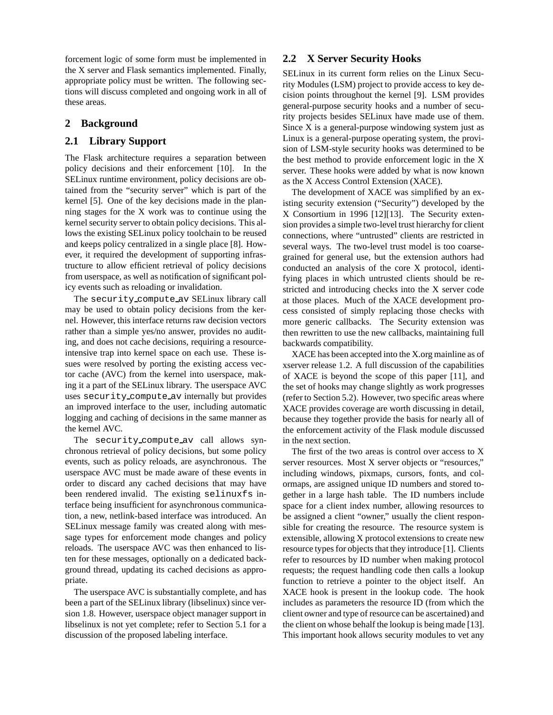forcement logic of some form must be implemented in the X server and Flask semantics implemented. Finally, appropriate policy must be written. The following sections will discuss completed and ongoing work in all of these areas.

# **2 Background**

# **2.1 Library Support**

The Flask architecture requires a separation between policy decisions and their enforcement [10]. In the SELinux runtime environment, policy decisions are obtained from the "security server" which is part of the kernel [5]. One of the key decisions made in the planning stages for the X work was to continue using the kernel security server to obtain policy decisions. This allows the existing SELinux policy toolchain to be reused and keeps policy centralized in a single place [8]. However, it required the development of supporting infrastructure to allow efficient retrieval of policy decisions from userspace, as well as notification of significant policy events such as reloading or invalidation.

The security compute av SELinux library call may be used to obtain policy decisions from the kernel. However, this interface returns raw decision vectors rather than a simple yes/no answer, provides no auditing, and does not cache decisions, requiring a resourceintensive trap into kernel space on each use. These issues were resolved by porting the existing access vector cache (AVC) from the kernel into userspace, making it a part of the SELinux library. The userspace AVC uses security compute av internally but provides an improved interface to the user, including automatic logging and caching of decisions in the same manner as the kernel AVC.

The security compute av call allows synchronous retrieval of policy decisions, but some policy events, such as policy reloads, are asynchronous. The userspace AVC must be made aware of these events in order to discard any cached decisions that may have been rendered invalid. The existing selinuxfs interface being insufficient for asynchronous communication, a new, netlink-based interface was introduced. An SELinux message family was created along with message types for enforcement mode changes and policy reloads. The userspace AVC was then enhanced to listen for these messages, optionally on a dedicated background thread, updating its cached decisions as appropriate.

The userspace AVC is substantially complete, and has been a part of the SELinux library (libselinux) since version 1.8. However, userspace object manager support in libselinux is not yet complete; refer to Section 5.1 for a discussion of the proposed labeling interface.

#### **2.2 X Server Security Hooks**

SELinux in its current form relies on the Linux Security Modules (LSM) project to provide access to key decision points throughout the kernel [9]. LSM provides general-purpose security hooks and a number of security projects besides SELinux have made use of them. Since X is a general-purpose windowing system just as Linux is a general-purpose operating system, the provision of LSM-style security hooks was determined to be the best method to provide enforcement logic in the X server. These hooks were added by what is now known as the X Access Control Extension (XACE).

The development of XACE was simplified by an existing security extension ("Security") developed by the X Consortium in 1996 [12][13]. The Security extension provides a simple two-level trust hierarchy for client connections, where "untrusted" clients are restricted in several ways. The two-level trust model is too coarsegrained for general use, but the extension authors had conducted an analysis of the core X protocol, identifying places in which untrusted clients should be restricted and introducing checks into the X server code at those places. Much of the XACE development process consisted of simply replacing those checks with more generic callbacks. The Security extension was then rewritten to use the new callbacks, maintaining full backwards compatibility.

XACE has been accepted into the X.org mainline as of xserver release 1.2. A full discussion of the capabilities of XACE is beyond the scope of this paper [11], and the set of hooks may change slightly as work progresses (refer to Section 5.2). However, two specific areas where XACE provides coverage are worth discussing in detail, because they together provide the basis for nearly all of the enforcement activity of the Flask module discussed in the next section.

The first of the two areas is control over access to X server resources. Most X server objects or "resources," including windows, pixmaps, cursors, fonts, and colormaps, are assigned unique ID numbers and stored together in a large hash table. The ID numbers include space for a client index number, allowing resources to be assigned a client "owner," usually the client responsible for creating the resource. The resource system is extensible, allowing X protocol extensions to create new resource types for objects that they introduce [1]. Clients refer to resources by ID number when making protocol requests; the request handling code then calls a lookup function to retrieve a pointer to the object itself. An XACE hook is present in the lookup code. The hook includes as parameters the resource ID (from which the client owner and type of resource can be ascertained) and the client on whose behalf the lookup is being made [13]. This important hook allows security modules to vet any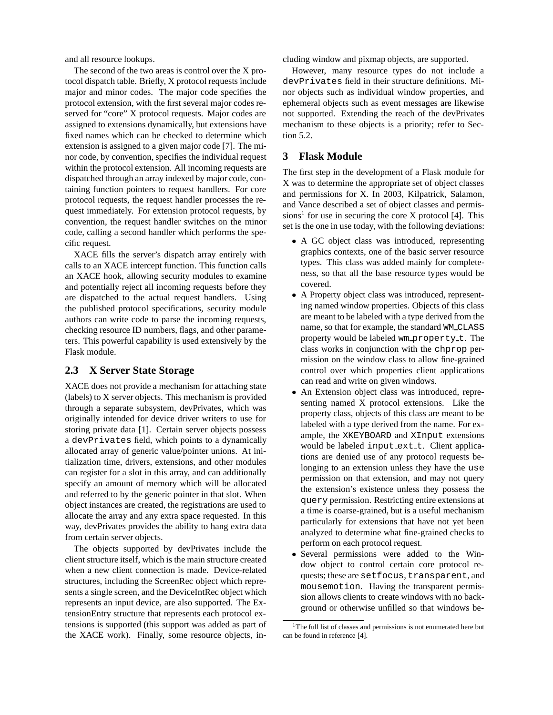and all resource lookups.

The second of the two areas is control over the X protocol dispatch table. Briefly, X protocol requests include major and minor codes. The major code specifies the protocol extension, with the first several major codes reserved for "core" X protocol requests. Major codes are assigned to extensions dynamically, but extensions have fixed names which can be checked to determine which extension is assigned to a given major code [7]. The minor code, by convention, specifies the individual request within the protocol extension. All incoming requests are dispatched through an array indexed by major code, containing function pointers to request handlers. For core protocol requests, the request handler processes the request immediately. For extension protocol requests, by convention, the request handler switches on the minor code, calling a second handler which performs the specific request.

XACE fills the server's dispatch array entirely with calls to an XACE intercept function. This function calls an XACE hook, allowing security modules to examine and potentially reject all incoming requests before they are dispatched to the actual request handlers. Using the published protocol specifications, security module authors can write code to parse the incoming requests, checking resource ID numbers, flags, and other parameters. This powerful capability is used extensively by the Flask module.

### **2.3 X Server State Storage**

XACE does not provide a mechanism for attaching state (labels) to X server objects. This mechanism is provided through a separate subsystem, devPrivates, which was originally intended for device driver writers to use for storing private data [1]. Certain server objects possess a devPrivates field, which points to a dynamically allocated array of generic value/pointer unions. At initialization time, drivers, extensions, and other modules can register for a slot in this array, and can additionally specify an amount of memory which will be allocated and referred to by the generic pointer in that slot. When object instances are created, the registrations are used to allocate the array and any extra space requested. In this way, devPrivates provides the ability to hang extra data from certain server objects.

The objects supported by devPrivates include the client structure itself, which is the main structure created when a new client connection is made. Device-related structures, including the ScreenRec object which represents a single screen, and the DeviceIntRec object which represents an input device, are also supported. The ExtensionEntry structure that represents each protocol extensions is supported (this support was added as part of the XACE work). Finally, some resource objects, including window and pixmap objects, are supported.

However, many resource types do not include a devPrivates field in their structure definitions. Minor objects such as individual window properties, and ephemeral objects such as event messages are likewise not supported. Extending the reach of the devPrivates mechanism to these objects is a priority; refer to Section 5.2.

# **3 Flask Module**

The first step in the development of a Flask module for X was to determine the appropriate set of object classes and permissions for X. In 2003, Kilpatrick, Salamon, and Vance described a set of object classes and permissions<sup>1</sup> for use in securing the core X protocol [4]. This set is the one in use today, with the following deviations:

- A GC object class was introduced, representing graphics contexts, one of the basic server resource types. This class was added mainly for completeness, so that all the base resource types would be covered.
- A Property object class was introduced, representing named window properties. Objects of this class are meant to be labeled with a type derived from the name, so that for example, the standard WM CLASS property would be labeled wm property t. The class works in conjunction with the chprop permission on the window class to allow fine-grained control over which properties client applications can read and write on given windows.
- An Extension object class was introduced, representing named X protocol extensions. Like the property class, objects of this class are meant to be labeled with a type derived from the name. For example, the XKEYBOARD and XInput extensions would be labeled input ext t. Client applications are denied use of any protocol requests belonging to an extension unless they have the use permission on that extension, and may not query the extension's existence unless they possess the query permission. Restricting entire extensions at a time is coarse-grained, but is a useful mechanism particularly for extensions that have not yet been analyzed to determine what fine-grained checks to perform on each protocol request.
- Several permissions were added to the Window object to control certain core protocol requests; these are setfocus, transparent, and mousemotion. Having the transparent permission allows clients to create windows with no background or otherwise unfilled so that windows be-

<sup>&</sup>lt;sup>1</sup>The full list of classes and permissions is not enumerated here but can be found in reference [4].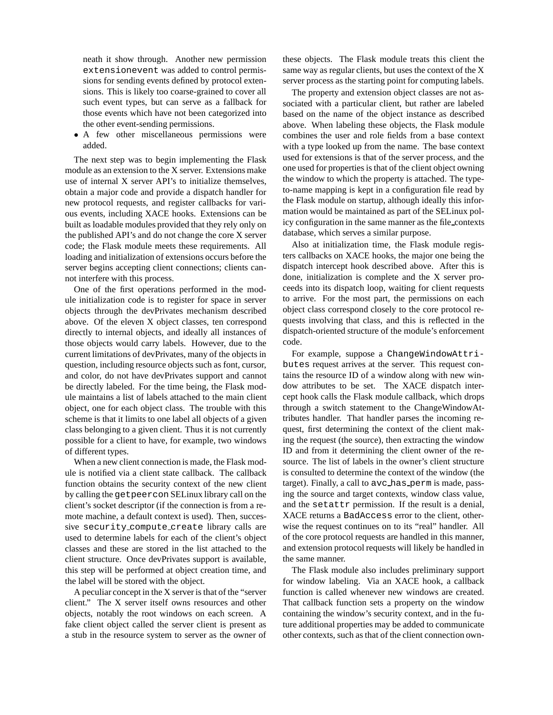neath it show through. Another new permission extensionevent was added to control permissions for sending events defined by protocol extensions. This is likely too coarse-grained to cover all such event types, but can serve as a fallback for those events which have not been categorized into the other event-sending permissions.

• A few other miscellaneous permissions were added.

The next step was to begin implementing the Flask module as an extension to the X server. Extensions make use of internal X server API's to initialize themselves, obtain a major code and provide a dispatch handler for new protocol requests, and register callbacks for various events, including XACE hooks. Extensions can be built as loadable modules provided that they rely only on the published API's and do not change the core X server code; the Flask module meets these requirements. All loading and initialization of extensions occurs before the server begins accepting client connections; clients cannot interfere with this process.

One of the first operations performed in the module initialization code is to register for space in server objects through the devPrivates mechanism described above. Of the eleven X object classes, ten correspond directly to internal objects, and ideally all instances of those objects would carry labels. However, due to the current limitations of devPrivates, many of the objects in question, including resource objects such as font, cursor, and color, do not have devPrivates support and cannot be directly labeled. For the time being, the Flask module maintains a list of labels attached to the main client object, one for each object class. The trouble with this scheme is that it limits to one label all objects of a given class belonging to a given client. Thus it is not currently possible for a client to have, for example, two windows of different types.

When a new client connection is made, the Flask module is notified via a client state callback. The callback function obtains the security context of the new client by calling the getpeercon SELinux library call on the client's socket descriptor (if the connection is from a remote machine, a default context is used). Then, successive security compute create library calls are used to determine labels for each of the client's object classes and these are stored in the list attached to the client structure. Once devPrivates support is available, this step will be performed at object creation time, and the label will be stored with the object.

A peculiar concept in the X server is that of the "server client." The X server itself owns resources and other objects, notably the root windows on each screen. A fake client object called the server client is present as a stub in the resource system to server as the owner of these objects. The Flask module treats this client the same way as regular clients, but uses the context of the X server process as the starting point for computing labels.

The property and extension object classes are not associated with a particular client, but rather are labeled based on the name of the object instance as described above. When labeling these objects, the Flask module combines the user and role fields from a base context with a type looked up from the name. The base context used for extensions is that of the server process, and the one used for properties is that of the client object owning the window to which the property is attached. The typeto-name mapping is kept in a configuration file read by the Flask module on startup, although ideally this information would be maintained as part of the SELinux policy configuration in the same manner as the file contexts database, which serves a similar purpose.

Also at initialization time, the Flask module registers callbacks on XACE hooks, the major one being the dispatch intercept hook described above. After this is done, initialization is complete and the X server proceeds into its dispatch loop, waiting for client requests to arrive. For the most part, the permissions on each object class correspond closely to the core protocol requests involving that class, and this is reflected in the dispatch-oriented structure of the module's enforcement code.

For example, suppose a ChangeWindowAttributes request arrives at the server. This request contains the resource ID of a window along with new window attributes to be set. The XACE dispatch intercept hook calls the Flask module callback, which drops through a switch statement to the ChangeWindowAttributes handler. That handler parses the incoming request, first determining the context of the client making the request (the source), then extracting the window ID and from it determining the client owner of the resource. The list of labels in the owner's client structure is consulted to determine the context of the window (the target). Finally, a call to avc\_has\_perm is made, passing the source and target contexts, window class value, and the setattr permission. If the result is a denial, XACE returns a BadAccess error to the client, otherwise the request continues on to its "real" handler. All of the core protocol requests are handled in this manner, and extension protocol requests will likely be handled in the same manner.

The Flask module also includes preliminary support for window labeling. Via an XACE hook, a callback function is called whenever new windows are created. That callback function sets a property on the window containing the window's security context, and in the future additional properties may be added to communicate other contexts, such as that of the client connection own-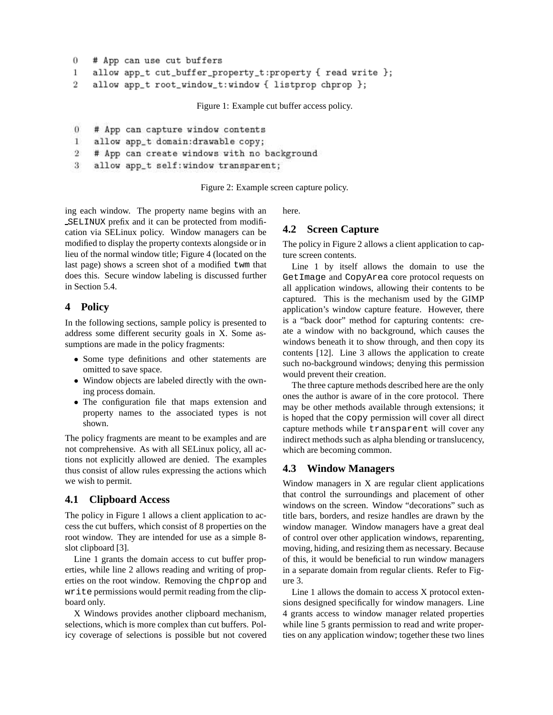```
\overline{0}# App can use cut buffers
\mathbf{1}allow app_t cut_buffer_property_t:property { read write };
\overline{2}
```
allow app\_t root\_window\_t:window { listprop chprop };

Figure 1: Example cut buffer access policy.

- $\theta$ # App can capture window contents
- allow app\_t domain:drawable copy;  $\mathbf{1}$
- $\overline{2}$ # App can create windows with no background
- allow app\_t self: window transparent; 3

Figure 2: Example screen capture policy.

ing each window. The property name begins with an SELINUX prefix and it can be protected from modification via SELinux policy. Window managers can be modified to display the property contexts alongside or in lieu of the normal window title; Figure 4 (located on the last page) shows a screen shot of a modified twm that does this. Secure window labeling is discussed further in Section 5.4.

# **4 Policy**

In the following sections, sample policy is presented to address some different security goals in X. Some assumptions are made in the policy fragments:

- Some type definitions and other statements are omitted to save space.
- Window objects are labeled directly with the owning process domain.
- The configuration file that maps extension and property names to the associated types is not shown.

The policy fragments are meant to be examples and are not comprehensive. As with all SELinux policy, all actions not explicitly allowed are denied. The examples thus consist of allow rules expressing the actions which we wish to permit.

# **4.1 Clipboard Access**

The policy in Figure 1 allows a client application to access the cut buffers, which consist of 8 properties on the root window. They are intended for use as a simple 8 slot clipboard [3].

Line 1 grants the domain access to cut buffer properties, while line 2 allows reading and writing of properties on the root window. Removing the chprop and write permissions would permit reading from the clipboard only.

X Windows provides another clipboard mechanism, selections, which is more complex than cut buffers. Policy coverage of selections is possible but not covered here.

### **4.2 Screen Capture**

The policy in Figure 2 allows a client application to capture screen contents.

Line 1 by itself allows the domain to use the GetImage and CopyArea core protocol requests on all application windows, allowing their contents to be captured. This is the mechanism used by the GIMP application's window capture feature. However, there is a "back door" method for capturing contents: create a window with no background, which causes the windows beneath it to show through, and then copy its contents [12]. Line 3 allows the application to create such no-background windows; denying this permission would prevent their creation.

The three capture methods described here are the only ones the author is aware of in the core protocol. There may be other methods available through extensions; it is hoped that the copy permission will cover all direct capture methods while transparent will cover any indirect methods such as alpha blending or translucency, which are becoming common.

### **4.3 Window Managers**

Window managers in X are regular client applications that control the surroundings and placement of other windows on the screen. Window "decorations" such as title bars, borders, and resize handles are drawn by the window manager. Window managers have a great deal of control over other application windows, reparenting, moving, hiding, and resizing them as necessary. Because of this, it would be beneficial to run window managers in a separate domain from regular clients. Refer to Figure 3.

Line 1 allows the domain to access X protocol extensions designed specifically for window managers. Line 4 grants access to window manager related properties while line 5 grants permission to read and write properties on any application window; together these two lines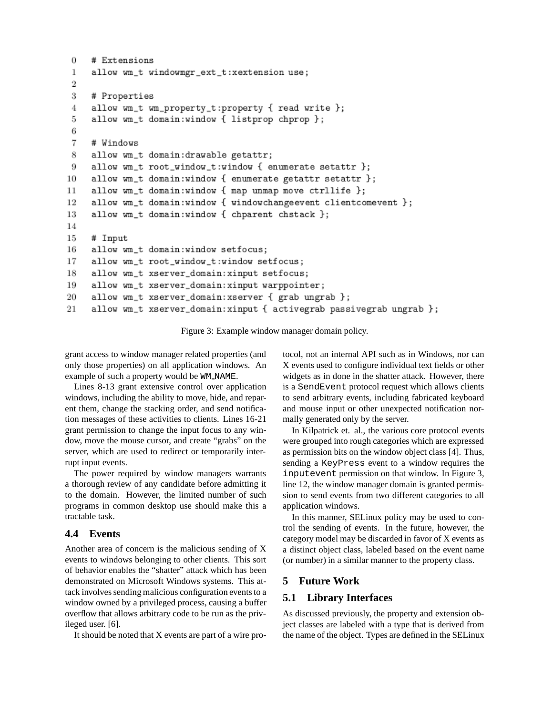```
\theta# Extensions
 \mathbf{1}allow wm_t windowmgr_ext_t:xextension use;
 \overline{2}3
     # Properties
 4
     allow wm_t wm_property_t:property { read write };
     allow wm_t domain:window { listprop chprop };
 5
 6
 \overline{7}# Windows
 8
     allow wm_t domain:drawable getattr;
     allow wm_t root_window_t:window { enumerate setattr };
 9
     allow wm_t domain:window { enumerate getattr setattr };
10
     allow wm_t domain:window { map unmap move ctrllife };
11
12
     allow wm_t domain:window { windowchangeevent clientcomevent };
     allow wm_t domain:window { chparent chstack };
13
14
15
     # Input
16
     allow wm_t domain:window setfocus;
17
     allow wm_t root_window_t:window setfocus;
18
     allow wm_t xserver_domain: xinput setfocus;
     allow wm_t xserver_domain: xinput warppointer;
19
20
     allow wm_t xserver_domain: xserver { grab ungrab };
     allow wm_t xserver_domain: xinput { activegrab passivegrab ungrab };
21
```
Figure 3: Example window manager domain policy.

grant access to window manager related properties (and only those properties) on all application windows. An example of such a property would be WM NAME.

Lines 8-13 grant extensive control over application windows, including the ability to move, hide, and reparent them, change the stacking order, and send notification messages of these activities to clients. Lines 16-21 grant permission to change the input focus to any window, move the mouse cursor, and create "grabs" on the server, which are used to redirect or temporarily interrupt input events.

The power required by window managers warrants a thorough review of any candidate before admitting it to the domain. However, the limited number of such programs in common desktop use should make this a tractable task.

# **4.4 Events**

Another area of concern is the malicious sending of X events to windows belonging to other clients. This sort of behavior enables the "shatter" attack which has been demonstrated on Microsoft Windows systems. This attack involves sending malicious configuration events to a window owned by a privileged process, causing a buffer overflow that allows arbitrary code to be run as the privileged user. [6].

It should be noted that X events are part of a wire pro-

tocol, not an internal API such as in Windows, nor can X events used to configure individual text fields or other widgets as in done in the shatter attack. However, there is a SendEvent protocol request which allows clients to send arbitrary events, including fabricated keyboard and mouse input or other unexpected notification normally generated only by the server.

In Kilpatrick et. al., the various core protocol events were grouped into rough categories which are expressed as permission bits on the window object class [4]. Thus, sending a KeyPress event to a window requires the inputevent permission on that window. In Figure 3, line 12, the window manager domain is granted permission to send events from two different categories to all application windows.

In this manner, SELinux policy may be used to control the sending of events. In the future, however, the category model may be discarded in favor of X events as a distinct object class, labeled based on the event name (or number) in a similar manner to the property class.

### **5 Future Work**

### **5.1 Library Interfaces**

As discussed previously, the property and extension object classes are labeled with a type that is derived from the name of the object. Types are defined in the SELinux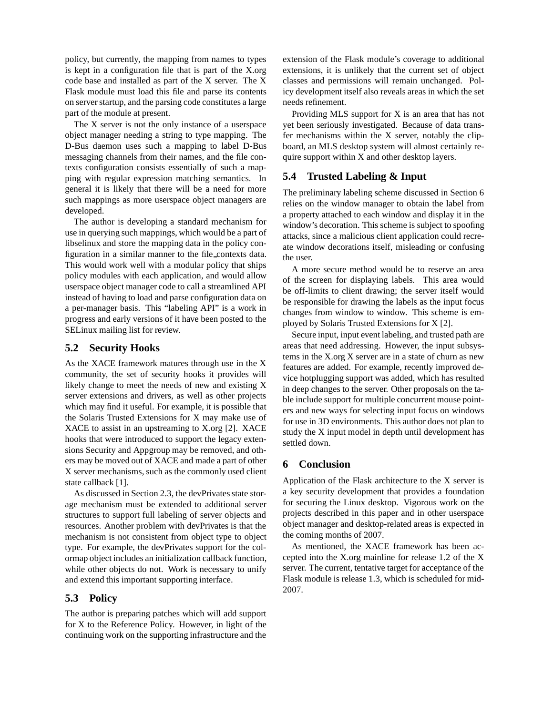policy, but currently, the mapping from names to types is kept in a configuration file that is part of the X.org code base and installed as part of the X server. The X Flask module must load this file and parse its contents on server startup, and the parsing code constitutes a large part of the module at present.

The X server is not the only instance of a userspace object manager needing a string to type mapping. The D-Bus daemon uses such a mapping to label D-Bus messaging channels from their names, and the file contexts configuration consists essentially of such a mapping with regular expression matching semantics. In general it is likely that there will be a need for more such mappings as more userspace object managers are developed.

The author is developing a standard mechanism for use in querying such mappings, which would be a part of libselinux and store the mapping data in the policy configuration in a similar manner to the file contexts data. This would work well with a modular policy that ships policy modules with each application, and would allow userspace object manager code to call a streamlined API instead of having to load and parse configuration data on a per-manager basis. This "labeling API" is a work in progress and early versions of it have been posted to the SELinux mailing list for review.

# **5.2 Security Hooks**

As the XACE framework matures through use in the X community, the set of security hooks it provides will likely change to meet the needs of new and existing X server extensions and drivers, as well as other projects which may find it useful. For example, it is possible that the Solaris Trusted Extensions for X may make use of XACE to assist in an upstreaming to X.org [2]. XACE hooks that were introduced to support the legacy extensions Security and Appgroup may be removed, and others may be moved out of XACE and made a part of other X server mechanisms, such as the commonly used client state callback [1].

As discussed in Section 2.3, the devPrivates state storage mechanism must be extended to additional server structures to support full labeling of server objects and resources. Another problem with devPrivates is that the mechanism is not consistent from object type to object type. For example, the devPrivates support for the colormap object includes an initialization callback function, while other objects do not. Work is necessary to unify and extend this important supporting interface.

# **5.3 Policy**

The author is preparing patches which will add support for X to the Reference Policy. However, in light of the continuing work on the supporting infrastructure and the extension of the Flask module's coverage to additional extensions, it is unlikely that the current set of object classes and permissions will remain unchanged. Policy development itself also reveals areas in which the set needs refinement.

Providing MLS support for X is an area that has not yet been seriously investigated. Because of data transfer mechanisms within the X server, notably the clipboard, an MLS desktop system will almost certainly require support within X and other desktop layers.

#### **5.4 Trusted Labeling & Input**

The preliminary labeling scheme discussed in Section 6 relies on the window manager to obtain the label from a property attached to each window and display it in the window's decoration. This scheme is subject to spoofing attacks, since a malicious client application could recreate window decorations itself, misleading or confusing the user.

A more secure method would be to reserve an area of the screen for displaying labels. This area would be off-limits to client drawing; the server itself would be responsible for drawing the labels as the input focus changes from window to window. This scheme is employed by Solaris Trusted Extensions for X [2].

Secure input, input event labeling, and trusted path are areas that need addressing. However, the input subsystems in the X.org X server are in a state of churn as new features are added. For example, recently improved device hotplugging support was added, which has resulted in deep changes to the server. Other proposals on the table include support for multiple concurrent mouse pointers and new ways for selecting input focus on windows for use in 3D environments. This author does not plan to study the X input model in depth until development has settled down.

#### **6 Conclusion**

Application of the Flask architecture to the X server is a key security development that provides a foundation for securing the Linux desktop. Vigorous work on the projects described in this paper and in other userspace object manager and desktop-related areas is expected in the coming months of 2007.

As mentioned, the XACE framework has been accepted into the X.org mainline for release 1.2 of the X server. The current, tentative target for acceptance of the Flask module is release 1.3, which is scheduled for mid-2007.